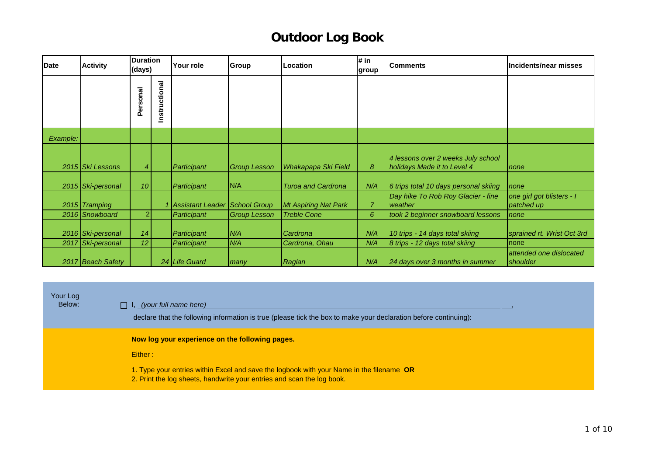| <b>Date</b> | <b>Activity</b>   | <b>Duration</b><br>(days) |               | Your role                     | <b>Group</b>        | Location                    | # in<br>group         | <b>Comments</b>                                                   | Incidents/near misses                   |
|-------------|-------------------|---------------------------|---------------|-------------------------------|---------------------|-----------------------------|-----------------------|-------------------------------------------------------------------|-----------------------------------------|
|             |                   | onal<br>ق<br>م            | Instructional |                               |                     |                             |                       |                                                                   |                                         |
| Example:    |                   |                           |               |                               |                     |                             |                       |                                                                   |                                         |
|             | 2015 Ski Lessons  | 4                         |               | Participant                   | <b>Group Lesson</b> | Whakapapa Ski Field         | $\boldsymbol{\delta}$ | 4 lessons over 2 weeks July school<br>holidays Made it to Level 4 | none                                    |
|             | 2015 Ski-personal | 10 <sup>1</sup>           |               | Participant                   | N/A                 | <b>Turoa and Cardrona</b>   | N/A                   | 6 trips total 10 days personal skiing                             | <i>I</i> none                           |
|             | 2015 Tramping     |                           |               | Assistant Leader School Group |                     | <b>Mt Aspiring Nat Park</b> | $\overline{7}$        | Day hike To Rob Roy Glacier - fine<br>weather                     | one girl got blisters - I<br>patched up |
|             | 2016 Snowboard    | 21                        |               | Participant                   | <b>Group Lesson</b> | <b>Treble Cone</b>          | 6                     | took 2 beginner snowboard lessons                                 | none                                    |
|             | 2016 Ski-personal | 14                        |               | Participant                   | N/A                 | Cardrona                    | N/A                   | 10 trips - 14 days total skiing                                   | sprained rt. Wrist Oct 3rd              |
|             | 2017 Ski-personal | 12 <sup>2</sup>           |               | Participant                   | N/A                 | Cardrona, Ohau              | N/A                   | 8 trips - 12 days total skiing                                    | Inone                                   |
|             | 2017 Beach Safety |                           |               | 24 Life Guard                 | many                | Raglan                      | N/A                   | 24 days over 3 months in summer                                   | attended one dislocated<br>shoulder     |

Your Log<br>:Below

#### Below: □ I, *(your full name here)* ,

declare that the following information is true (please tick the box to make your declaration before continuing):

**Now log your experience on the following pages.** 

Either :

1. Type your entries within Excel and save the logbook with your Name in the filename **OR**

2. Print the log sheets, handwrite your entries and scan the log book.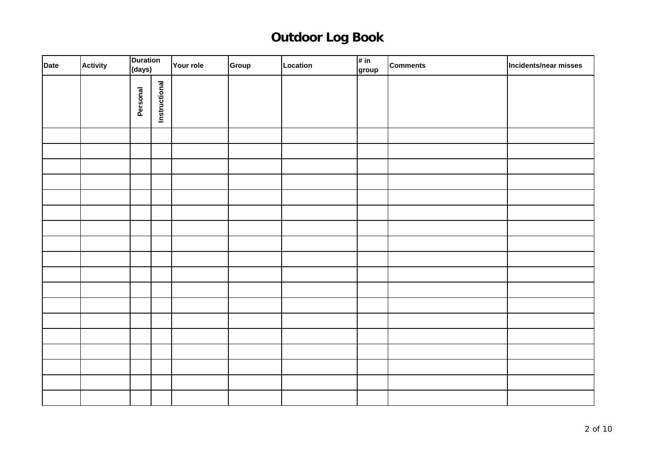| Date | <b>Activity</b> | <b>Duration</b><br>(days) |               | Your role | Group | Location | # in<br>group | <b>Comments</b> | Incidents/near misses |
|------|-----------------|---------------------------|---------------|-----------|-------|----------|---------------|-----------------|-----------------------|
|      |                 | Personal                  | Instructional |           |       |          |               |                 |                       |
|      |                 |                           |               |           |       |          |               |                 |                       |
|      |                 |                           |               |           |       |          |               |                 |                       |
|      |                 |                           |               |           |       |          |               |                 |                       |
|      |                 |                           |               |           |       |          |               |                 |                       |
|      |                 |                           |               |           |       |          |               |                 |                       |
|      |                 |                           |               |           |       |          |               |                 |                       |
|      |                 |                           |               |           |       |          |               |                 |                       |
|      |                 |                           |               |           |       |          |               |                 |                       |
|      |                 |                           |               |           |       |          |               |                 |                       |
|      |                 |                           |               |           |       |          |               |                 |                       |
|      |                 |                           |               |           |       |          |               |                 |                       |
|      |                 |                           |               |           |       |          |               |                 |                       |
|      |                 |                           |               |           |       |          |               |                 |                       |
|      |                 |                           |               |           |       |          |               |                 |                       |
|      |                 |                           |               |           |       |          |               |                 |                       |
|      |                 |                           |               |           |       |          |               |                 |                       |
|      |                 |                           |               |           |       |          |               |                 |                       |
|      |                 |                           |               |           |       |          |               |                 |                       |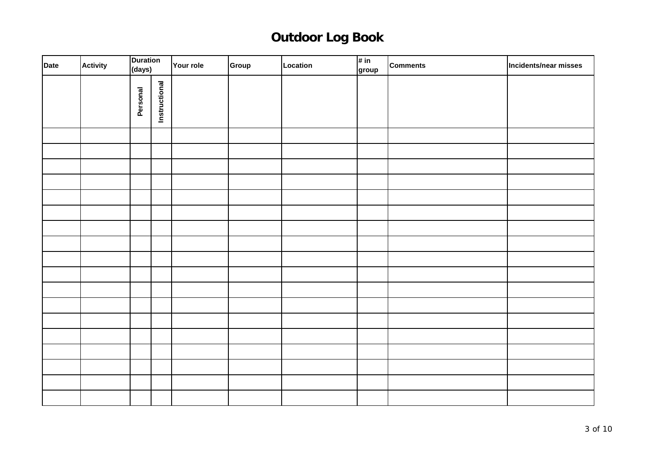| Date | <b>Activity</b> | <b>Duration</b><br>(days) |               | Your role | Group | Location | # in<br>group | <b>Comments</b> | Incidents/near misses |
|------|-----------------|---------------------------|---------------|-----------|-------|----------|---------------|-----------------|-----------------------|
|      |                 | Personal                  | Instructional |           |       |          |               |                 |                       |
|      |                 |                           |               |           |       |          |               |                 |                       |
|      |                 |                           |               |           |       |          |               |                 |                       |
|      |                 |                           |               |           |       |          |               |                 |                       |
|      |                 |                           |               |           |       |          |               |                 |                       |
|      |                 |                           |               |           |       |          |               |                 |                       |
|      |                 |                           |               |           |       |          |               |                 |                       |
|      |                 |                           |               |           |       |          |               |                 |                       |
|      |                 |                           |               |           |       |          |               |                 |                       |
|      |                 |                           |               |           |       |          |               |                 |                       |
|      |                 |                           |               |           |       |          |               |                 |                       |
|      |                 |                           |               |           |       |          |               |                 |                       |
|      |                 |                           |               |           |       |          |               |                 |                       |
|      |                 |                           |               |           |       |          |               |                 |                       |
|      |                 |                           |               |           |       |          |               |                 |                       |
|      |                 |                           |               |           |       |          |               |                 |                       |
|      |                 |                           |               |           |       |          |               |                 |                       |
|      |                 |                           |               |           |       |          |               |                 |                       |
|      |                 |                           |               |           |       |          |               |                 |                       |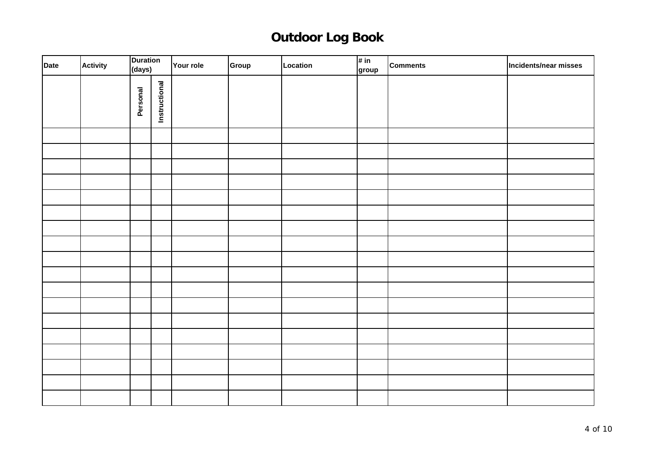| Date | <b>Activity</b> | <b>Duration</b><br>(days) |               | Your role | Group | Location | # in<br>group | <b>Comments</b> | Incidents/near misses |
|------|-----------------|---------------------------|---------------|-----------|-------|----------|---------------|-----------------|-----------------------|
|      |                 | Personal                  | Instructional |           |       |          |               |                 |                       |
|      |                 |                           |               |           |       |          |               |                 |                       |
|      |                 |                           |               |           |       |          |               |                 |                       |
|      |                 |                           |               |           |       |          |               |                 |                       |
|      |                 |                           |               |           |       |          |               |                 |                       |
|      |                 |                           |               |           |       |          |               |                 |                       |
|      |                 |                           |               |           |       |          |               |                 |                       |
|      |                 |                           |               |           |       |          |               |                 |                       |
|      |                 |                           |               |           |       |          |               |                 |                       |
|      |                 |                           |               |           |       |          |               |                 |                       |
|      |                 |                           |               |           |       |          |               |                 |                       |
|      |                 |                           |               |           |       |          |               |                 |                       |
|      |                 |                           |               |           |       |          |               |                 |                       |
|      |                 |                           |               |           |       |          |               |                 |                       |
|      |                 |                           |               |           |       |          |               |                 |                       |
|      |                 |                           |               |           |       |          |               |                 |                       |
|      |                 |                           |               |           |       |          |               |                 |                       |
|      |                 |                           |               |           |       |          |               |                 |                       |
|      |                 |                           |               |           |       |          |               |                 |                       |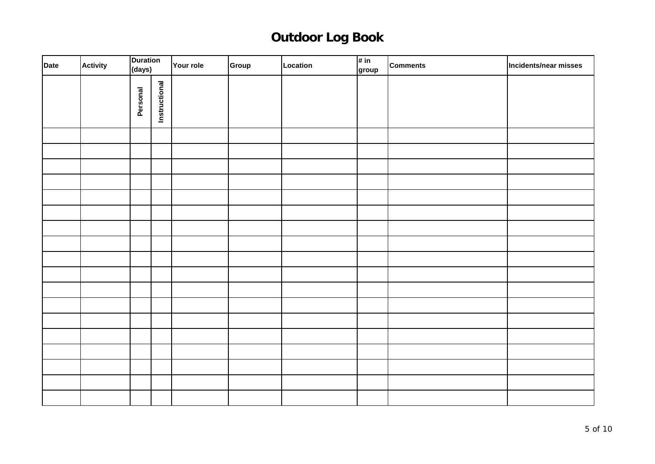| Date | <b>Activity</b> | <b>Duration</b><br>(days) |               | Your role | Group | Location | # in<br>group | <b>Comments</b> | Incidents/near misses |
|------|-----------------|---------------------------|---------------|-----------|-------|----------|---------------|-----------------|-----------------------|
|      |                 | Personal                  | Instructional |           |       |          |               |                 |                       |
|      |                 |                           |               |           |       |          |               |                 |                       |
|      |                 |                           |               |           |       |          |               |                 |                       |
|      |                 |                           |               |           |       |          |               |                 |                       |
|      |                 |                           |               |           |       |          |               |                 |                       |
|      |                 |                           |               |           |       |          |               |                 |                       |
|      |                 |                           |               |           |       |          |               |                 |                       |
|      |                 |                           |               |           |       |          |               |                 |                       |
|      |                 |                           |               |           |       |          |               |                 |                       |
|      |                 |                           |               |           |       |          |               |                 |                       |
|      |                 |                           |               |           |       |          |               |                 |                       |
|      |                 |                           |               |           |       |          |               |                 |                       |
|      |                 |                           |               |           |       |          |               |                 |                       |
|      |                 |                           |               |           |       |          |               |                 |                       |
|      |                 |                           |               |           |       |          |               |                 |                       |
|      |                 |                           |               |           |       |          |               |                 |                       |
|      |                 |                           |               |           |       |          |               |                 |                       |
|      |                 |                           |               |           |       |          |               |                 |                       |
|      |                 |                           |               |           |       |          |               |                 |                       |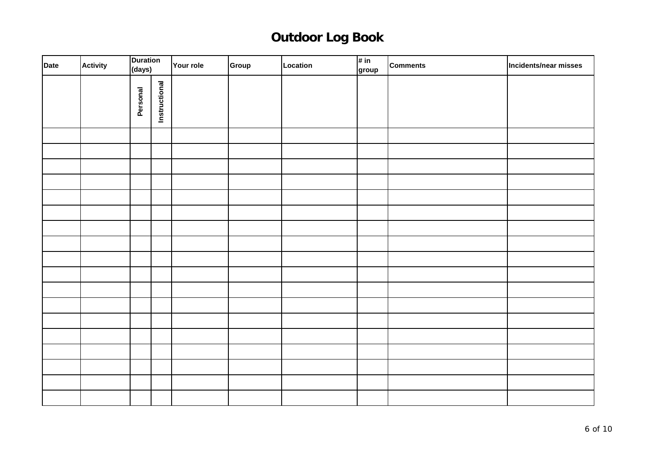| Date | <b>Activity</b> | <b>Duration</b><br>(days) |               | Your role | Group | Location | # in<br>group | <b>Comments</b> | Incidents/near misses |
|------|-----------------|---------------------------|---------------|-----------|-------|----------|---------------|-----------------|-----------------------|
|      |                 | Personal                  | Instructional |           |       |          |               |                 |                       |
|      |                 |                           |               |           |       |          |               |                 |                       |
|      |                 |                           |               |           |       |          |               |                 |                       |
|      |                 |                           |               |           |       |          |               |                 |                       |
|      |                 |                           |               |           |       |          |               |                 |                       |
|      |                 |                           |               |           |       |          |               |                 |                       |
|      |                 |                           |               |           |       |          |               |                 |                       |
|      |                 |                           |               |           |       |          |               |                 |                       |
|      |                 |                           |               |           |       |          |               |                 |                       |
|      |                 |                           |               |           |       |          |               |                 |                       |
|      |                 |                           |               |           |       |          |               |                 |                       |
|      |                 |                           |               |           |       |          |               |                 |                       |
|      |                 |                           |               |           |       |          |               |                 |                       |
|      |                 |                           |               |           |       |          |               |                 |                       |
|      |                 |                           |               |           |       |          |               |                 |                       |
|      |                 |                           |               |           |       |          |               |                 |                       |
|      |                 |                           |               |           |       |          |               |                 |                       |
|      |                 |                           |               |           |       |          |               |                 |                       |
|      |                 |                           |               |           |       |          |               |                 |                       |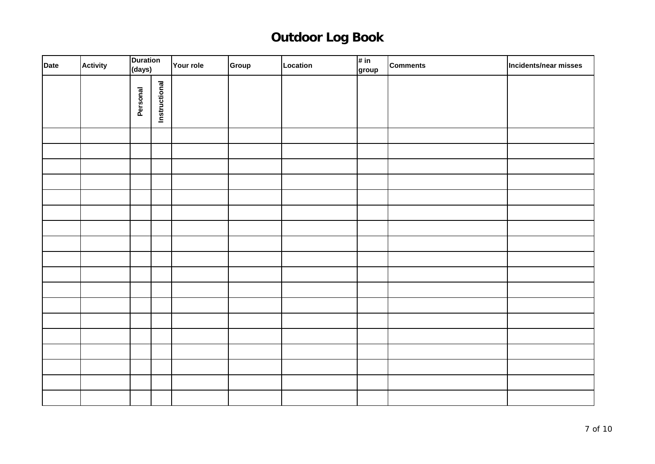| Date | <b>Activity</b> | <b>Duration</b><br>(days) |               | Your role | Group | Location | # in<br>group | <b>Comments</b> | Incidents/near misses |
|------|-----------------|---------------------------|---------------|-----------|-------|----------|---------------|-----------------|-----------------------|
|      |                 | Personal                  | Instructional |           |       |          |               |                 |                       |
|      |                 |                           |               |           |       |          |               |                 |                       |
|      |                 |                           |               |           |       |          |               |                 |                       |
|      |                 |                           |               |           |       |          |               |                 |                       |
|      |                 |                           |               |           |       |          |               |                 |                       |
|      |                 |                           |               |           |       |          |               |                 |                       |
|      |                 |                           |               |           |       |          |               |                 |                       |
|      |                 |                           |               |           |       |          |               |                 |                       |
|      |                 |                           |               |           |       |          |               |                 |                       |
|      |                 |                           |               |           |       |          |               |                 |                       |
|      |                 |                           |               |           |       |          |               |                 |                       |
|      |                 |                           |               |           |       |          |               |                 |                       |
|      |                 |                           |               |           |       |          |               |                 |                       |
|      |                 |                           |               |           |       |          |               |                 |                       |
|      |                 |                           |               |           |       |          |               |                 |                       |
|      |                 |                           |               |           |       |          |               |                 |                       |
|      |                 |                           |               |           |       |          |               |                 |                       |
|      |                 |                           |               |           |       |          |               |                 |                       |
|      |                 |                           |               |           |       |          |               |                 |                       |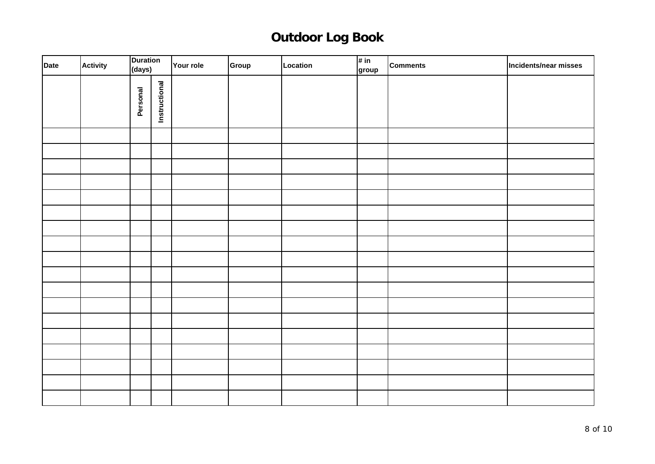| Date | <b>Activity</b> | <b>Duration</b><br>(days) |               | Your role | Group | Location | # in<br>group | <b>Comments</b> | Incidents/near misses |
|------|-----------------|---------------------------|---------------|-----------|-------|----------|---------------|-----------------|-----------------------|
|      |                 | Personal                  | Instructional |           |       |          |               |                 |                       |
|      |                 |                           |               |           |       |          |               |                 |                       |
|      |                 |                           |               |           |       |          |               |                 |                       |
|      |                 |                           |               |           |       |          |               |                 |                       |
|      |                 |                           |               |           |       |          |               |                 |                       |
|      |                 |                           |               |           |       |          |               |                 |                       |
|      |                 |                           |               |           |       |          |               |                 |                       |
|      |                 |                           |               |           |       |          |               |                 |                       |
|      |                 |                           |               |           |       |          |               |                 |                       |
|      |                 |                           |               |           |       |          |               |                 |                       |
|      |                 |                           |               |           |       |          |               |                 |                       |
|      |                 |                           |               |           |       |          |               |                 |                       |
|      |                 |                           |               |           |       |          |               |                 |                       |
|      |                 |                           |               |           |       |          |               |                 |                       |
|      |                 |                           |               |           |       |          |               |                 |                       |
|      |                 |                           |               |           |       |          |               |                 |                       |
|      |                 |                           |               |           |       |          |               |                 |                       |
|      |                 |                           |               |           |       |          |               |                 |                       |
|      |                 |                           |               |           |       |          |               |                 |                       |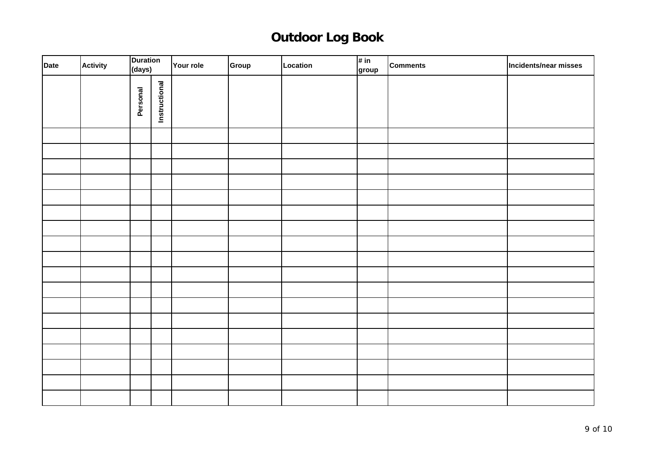| Date | <b>Activity</b> | <b>Duration</b><br>(days) |               | Your role | Group | Location | # in<br>group | <b>Comments</b> | Incidents/near misses |
|------|-----------------|---------------------------|---------------|-----------|-------|----------|---------------|-----------------|-----------------------|
|      |                 | Personal                  | Instructional |           |       |          |               |                 |                       |
|      |                 |                           |               |           |       |          |               |                 |                       |
|      |                 |                           |               |           |       |          |               |                 |                       |
|      |                 |                           |               |           |       |          |               |                 |                       |
|      |                 |                           |               |           |       |          |               |                 |                       |
|      |                 |                           |               |           |       |          |               |                 |                       |
|      |                 |                           |               |           |       |          |               |                 |                       |
|      |                 |                           |               |           |       |          |               |                 |                       |
|      |                 |                           |               |           |       |          |               |                 |                       |
|      |                 |                           |               |           |       |          |               |                 |                       |
|      |                 |                           |               |           |       |          |               |                 |                       |
|      |                 |                           |               |           |       |          |               |                 |                       |
|      |                 |                           |               |           |       |          |               |                 |                       |
|      |                 |                           |               |           |       |          |               |                 |                       |
|      |                 |                           |               |           |       |          |               |                 |                       |
|      |                 |                           |               |           |       |          |               |                 |                       |
|      |                 |                           |               |           |       |          |               |                 |                       |
|      |                 |                           |               |           |       |          |               |                 |                       |
|      |                 |                           |               |           |       |          |               |                 |                       |